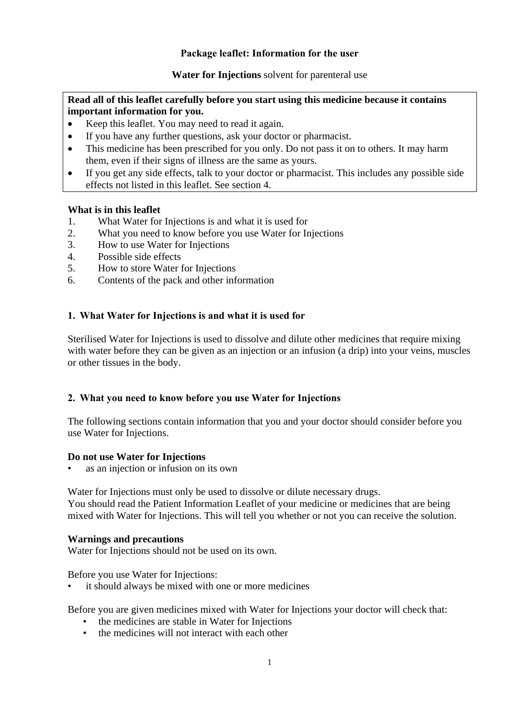# **Package leaflet: Information for the user**

### **Water for Injections** solvent for parenteral use

**Read all of this leaflet carefully before you start using this medicine because it contains important information for you.**

- Keep this leaflet. You may need to read it again.
- If you have any further questions, ask your doctor or pharmacist.
- This medicine has been prescribed for you only. Do not pass it on to others. It may harm them, even if their signs of illness are the same as yours.
- If you get any side effects, talk to your doctor or pharmacist. This includes any possible side effects not listed in this leaflet. See section 4.

### **What is in this leaflet**

- 1. What Water for Injections is and what it is used for
- 2. What you need to know before you use Water for Injections
- 3. How to use Water for Injections
- 4. Possible side effects
- 5. How to store Water for Injections
- 6. Contents of the pack and other information

### **1. What Water for Injections is and what it is used for**

Sterilised Water for Injections is used to dissolve and dilute other medicines that require mixing with water before they can be given as an injection or an infusion (a drip) into your veins, muscles or other tissues in the body.

### **2. What you need to know before you use Water for Injections**

The following sections contain information that you and your doctor should consider before you use Water for Injections.

#### **Do not use Water for Injections**

as an injection or infusion on its own

Water for Injections must only be used to dissolve or dilute necessary drugs. You should read the Patient Information Leaflet of your medicine or medicines that are being mixed with Water for Injections. This will tell you whether or not you can receive the solution.

#### **Warnings and precautions**

Water for Injections should not be used on its own.

Before you use Water for Injections:

it should always be mixed with one or more medicines

Before you are given medicines mixed with Water for Injections your doctor will check that:

- the medicines are stable in Water for Injections
- the medicines will not interact with each other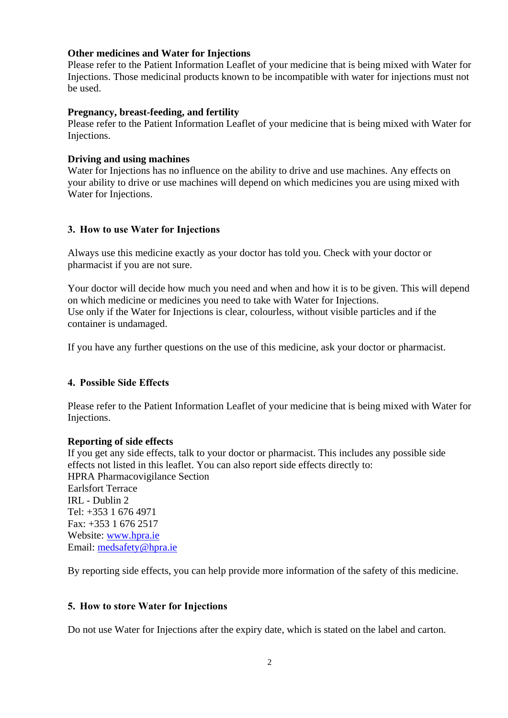#### **Other medicines and Water for Injections**

Please refer to the Patient Information Leaflet of your medicine that is being mixed with Water for Injections. Those medicinal products known to be incompatible with water for injections must not be used.

#### **Pregnancy, breast-feeding, and fertility**

Please refer to the Patient Information Leaflet of your medicine that is being mixed with Water for Injections.

### **Driving and using machines**

Water for Injections has no influence on the ability to drive and use machines. Any effects on your ability to drive or use machines will depend on which medicines you are using mixed with Water for Injections.

### **3. How to use Water for Injections**

Always use this medicine exactly as your doctor has told you. Check with your doctor or pharmacist if you are not sure.

Your doctor will decide how much you need and when and how it is to be given. This will depend on which medicine or medicines you need to take with Water for Injections. Use only if the Water for Injections is clear, colourless, without visible particles and if the container is undamaged.

If you have any further questions on the use of this medicine, ask your doctor or pharmacist.

### **4. Possible Side Effects**

Please refer to the Patient Information Leaflet of your medicine that is being mixed with Water for Injections.

#### **Reporting of side effects**

If you get any side effects, talk to your doctor or pharmacist. This includes any possible side effects not listed in this leaflet. You can also report side effects directly to: HPRA Pharmacovigilance Section Earlsfort Terrace IRL - Dublin 2 Tel: +353 1 676 4971 Fax: +353 1 676 2517 Website: www.hpra.ie Email: [medsafety@hpra.ie](mailto:medsafety@hpra.ie)

By reporting side effects, you can help provide more information of the safety of this medicine.

### **5. How to store Water for Injections**

Do not use Water for Injections after the expiry date, which is stated on the label and carton.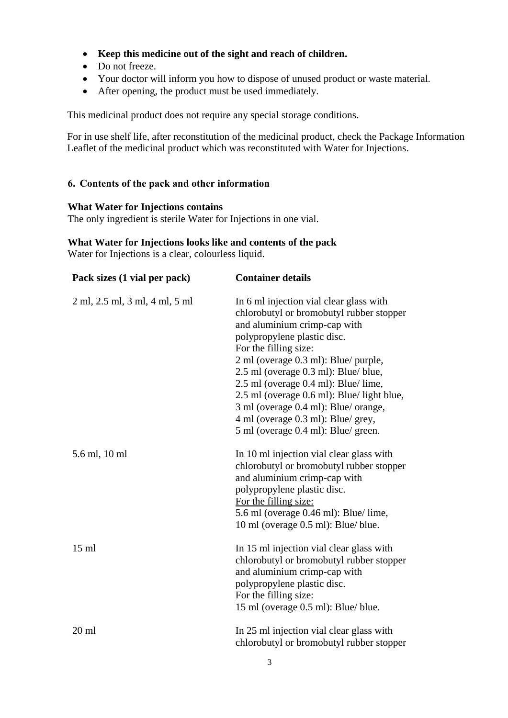- **Keep this medicine out of the sight and reach of children.**
- Do not freeze.
- Your doctor will inform you how to dispose of unused product or waste material.
- After opening, the product must be used immediately.

This medicinal product does not require any special storage conditions.

For in use shelf life, after reconstitution of the medicinal product, check the Package Information Leaflet of the medicinal product which was reconstituted with Water for Injections.

# **6. Contents of the pack and other information**

# **What Water for Injections contains**

The only ingredient is sterile Water for Injections in one vial.

# **What Water for Injections looks like and contents of the pack**

Water for Injections is a clear, colourless liquid.

| Pack sizes (1 vial per pack)   | <b>Container details</b>                                                                                                                                                                                                                                                                                                                                                                                                                                              |
|--------------------------------|-----------------------------------------------------------------------------------------------------------------------------------------------------------------------------------------------------------------------------------------------------------------------------------------------------------------------------------------------------------------------------------------------------------------------------------------------------------------------|
| 2 ml, 2.5 ml, 3 ml, 4 ml, 5 ml | In 6 ml injection vial clear glass with<br>chlorobutyl or bromobutyl rubber stopper<br>and aluminium crimp-cap with<br>polypropylene plastic disc.<br>For the filling size:<br>2 ml (overage 0.3 ml): Blue/ purple,<br>2.5 ml (overage 0.3 ml): Blue/ blue,<br>2.5 ml (overage 0.4 ml): Blue/lime,<br>2.5 ml (overage 0.6 ml): Blue/ light blue,<br>3 ml (overage 0.4 ml): Blue/ orange,<br>4 ml (overage 0.3 ml): Blue/ grey,<br>5 ml (overage 0.4 ml): Blue/ green. |
| 5.6 ml, 10 ml                  | In 10 ml injection vial clear glass with<br>chlorobutyl or bromobutyl rubber stopper<br>and aluminium crimp-cap with<br>polypropylene plastic disc.<br>For the filling size:<br>5.6 ml (overage 0.46 ml): Blue/lime,<br>10 ml (overage 0.5 ml): Blue/blue.                                                                                                                                                                                                            |
| $15 \text{ ml}$                | In 15 ml injection vial clear glass with<br>chlorobutyl or bromobutyl rubber stopper<br>and aluminium crimp-cap with<br>polypropylene plastic disc.<br>For the filling size:<br>15 ml (overage 0.5 ml): Blue/ blue.                                                                                                                                                                                                                                                   |
| $20 \text{ ml}$                | In 25 ml injection vial clear glass with<br>chlorobutyl or bromobutyl rubber stopper                                                                                                                                                                                                                                                                                                                                                                                  |